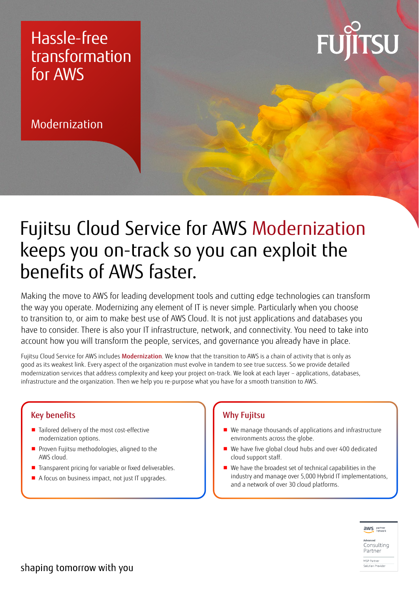### Hassle-free transformation for AWS

Modernization



## Fujitsu Cloud Service for AWS Modernization keeps you on-track so you can exploit the benefits of AWS faster.

Making the move to AWS for leading development tools and cutting edge technologies can transform the way you operate. Modernizing any element of IT is never simple. Particularly when you choose to transition to, or aim to make best use of AWS Cloud. It is not just applications and databases you have to consider. There is also your IT infrastructure, network, and connectivity. You need to take into account how you will transform the people, services, and governance you already have in place.

Fujitsu Cloud Service for AWS includes Modernization. We know that the transition to AWS is a chain of activity that is only as good as its weakest link. Every aspect of the organization must evolve in tandem to see true success. So we provide detailed modernization services that address complexity and keep your project on-track. We look at each layer – applications, databases, infrastructure and the organization. Then we help you re-purpose what you have for a smooth transition to AWS.

### Key benefits

- Tailored delivery of the most cost-effective modernization options.
- Proven Fujitsu methodologies, aligned to the AWS cloud.
- Transparent pricing for variable or fixed deliverables.
- A focus on business impact, not just IT upgrades.

### Why Fujitsu

- We manage thousands of applications and infrastructure environments across the globe.
- We have five global cloud hubs and over 400 dedicated cloud support staff.
- We have the broadest set of technical capabilities in the industry and manage over 5,000 Hybrid IT implementations, and a network of over 30 cloud platforms.



Consultina Partner MSP Partner

Solution Provide